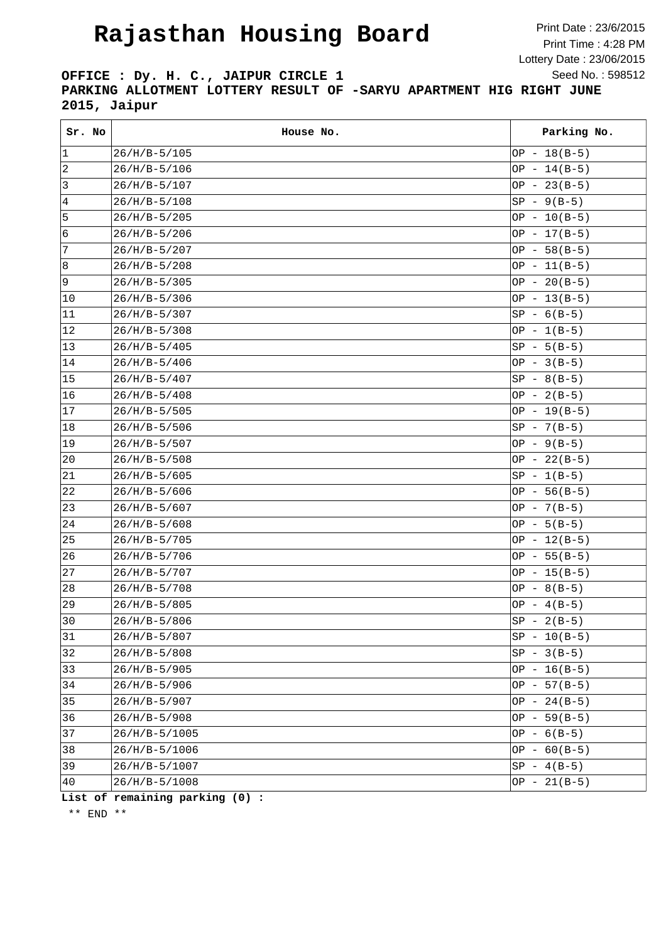## **Rajasthan Housing Board**

Print Date : 23/6/2015 Print Time : 4:28 PM Lottery Date : 23/06/2015 Seed No. : 598512

**OFFICE : Dy. H. C., JAIPUR CIRCLE 1 PARKING ALLOTMENT LOTTERY RESULT OF -SARYU APARTMENT HIG RIGHT JUNE 2015, Jaipur**

| Sr. No       | House No.       | Parking No.    |
|--------------|-----------------|----------------|
| 1            | $26/H/B-5/105$  | OP $-18(B-5)$  |
| 2            | $26/H/B-5/106$  | OP $-14(B-5)$  |
| 3            | $26/H/B-5/107$  | OP - $23(B-5)$ |
| 4            | $26/H/B-5/108$  | $SP - 9(B-5)$  |
| 5            | $26/H/B-5/205$  | $OP - 10(B-5)$ |
| 6            | $26/H/B-5/206$  | $OP - 17(B-5)$ |
| 7            | $26/H/B-5/207$  | OP - $58(B-5)$ |
| 8            | $26/H/B-5/208$  | $OP - 11(B-5)$ |
| 9            | $26/H/B-5/305$  | $OP - 20(B-5)$ |
| 10           | $26/H/B-5/306$  | $OP - 13(B-5)$ |
| 11           | $26/H/B-5/307$  | $SP - 6(B-5)$  |
| 12           | $26/H/B-5/308$  | $OP - 1(B-5)$  |
| $ 13\rangle$ | $26/H/B-5/405$  | $SP - 5(B-5)$  |
| 14           | $26/H/B-5/406$  | OP - $3(B-5)$  |
| 15           | $26/H/B-5/407$  | $SP - 8(B-5)$  |
| 16           | $26/H/B-5/408$  | OP - $2(B-5)$  |
| 17           | $26/H/B-5/505$  | $OP - 19(B-5)$ |
| 18           | $26/H/B-5/506$  | $SP - 7(B-5)$  |
| 19           | $26/H/B-5/507$  | OP - $9(B-5)$  |
| $ 20\rangle$ | $26/H/B-5/508$  | OP - $22(B-5)$ |
| 21           | $26/H/B-5/605$  | $SP - 1(B-5)$  |
| 22           | $26/H/B-5/606$  | $OP - 56(B-5)$ |
| 23           | $26/H/B-5/607$  | OP - $7(B-5)$  |
| 24           | $26/H/B-5/608$  | OP $-5(B-5)$   |
| 25           | $26/H/B-5/705$  | $OP - 12(B-5)$ |
| 26           | $26/H/B-5/706$  | $OP - 55(B-5)$ |
| 27           | $26/H/B-5/707$  | $OP - 15(B-5)$ |
| 28           | $26/H/B-5/708$  | OP - $8(B-5)$  |
| 29           | $26/H/B-5/805$  | OP $-4(B-5)$   |
| 30           | $26/H/B-5/806$  | $SP - 2(B-5)$  |
| 31           | $26/H/B-5/807$  | $SP - 10(B-5)$ |
| 32           | $26/H/B-5/808$  | $SP - 3(B-5)$  |
| $ 33\rangle$ | $26/H/B-5/905$  | $OP - 16(B-5)$ |
| 34           | $26/H/B-5/906$  | $OP - 57(B-5)$ |
| 35           | $26/H/B-5/907$  | $OP - 24(B-5)$ |
| 36           | $26/H/B-5/908$  | $OP - 59(B-5)$ |
| 37           | $26/H/B-5/1005$ | OP - $6(B-5)$  |
| 38           | $26/H/B-5/1006$ | OP - $60(B-5)$ |
| 39           | 26/H/B-5/1007   | $SP - 4(B-5)$  |
| 40           | $26/H/B-5/1008$ | $OP - 21(B-5)$ |

**List of remaining parking (0) :**

\*\* END \*\*